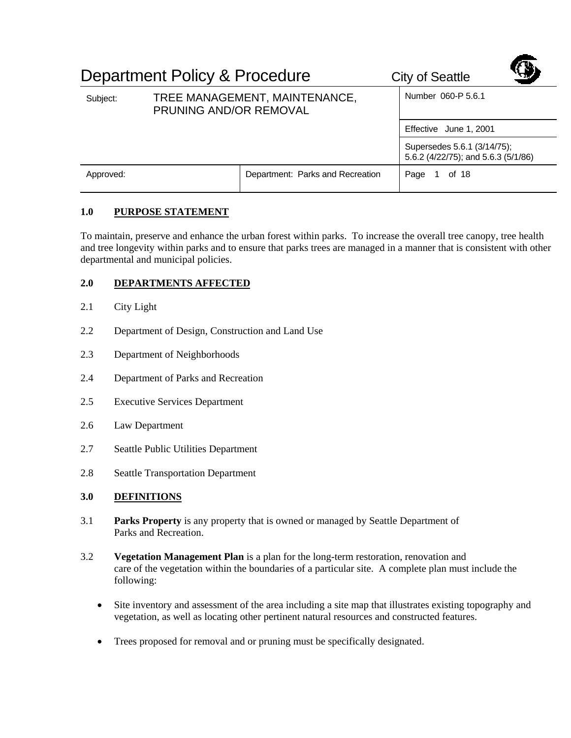|           | Department Policy & Procedure                           | <b>City of Seattle</b>           |                                                                    |  |
|-----------|---------------------------------------------------------|----------------------------------|--------------------------------------------------------------------|--|
| Subject:  | TREE MANAGEMENT, MAINTENANCE,<br>PRUNING AND/OR REMOVAL |                                  | Number 060-P 5.6.1                                                 |  |
|           |                                                         |                                  | Effective June 1, 2001                                             |  |
|           |                                                         |                                  | Supersedes 5.6.1 (3/14/75);<br>5.6.2 (4/22/75); and 5.6.3 (5/1/86) |  |
| Approved: |                                                         | Department: Parks and Recreation | Page<br>of 18                                                      |  |

## **1.0 PURPOSE STATEMENT**

To maintain, preserve and enhance the urban forest within parks. To increase the overall tree canopy, tree health and tree longevity within parks and to ensure that parks trees are managed in a manner that is consistent with other departmental and municipal policies.

# **2.0 DEPARTMENTS AFFECTED**

- 2.1 City Light
- 2.2 Department of Design, Construction and Land Use
- 2.3 Department of Neighborhoods
- 2.4 Department of Parks and Recreation
- 2.5 Executive Services Department
- 2.6 Law Department
- 2.7 Seattle Public Utilities Department
- 2.8 Seattle Transportation Department
- **3.0 DEFINITIONS**
- 3.1 **Parks Property** is any property that is owned or managed by Seattle Department of Parks and Recreation.
- 3.2 **Vegetation Management Plan** is a plan for the long-term restoration, renovation and care of the vegetation within the boundaries of a particular site. A complete plan must include the following:
	- Site inventory and assessment of the area including a site map that illustrates existing topography and vegetation, as well as locating other pertinent natural resources and constructed features.
	- Trees proposed for removal and or pruning must be specifically designated.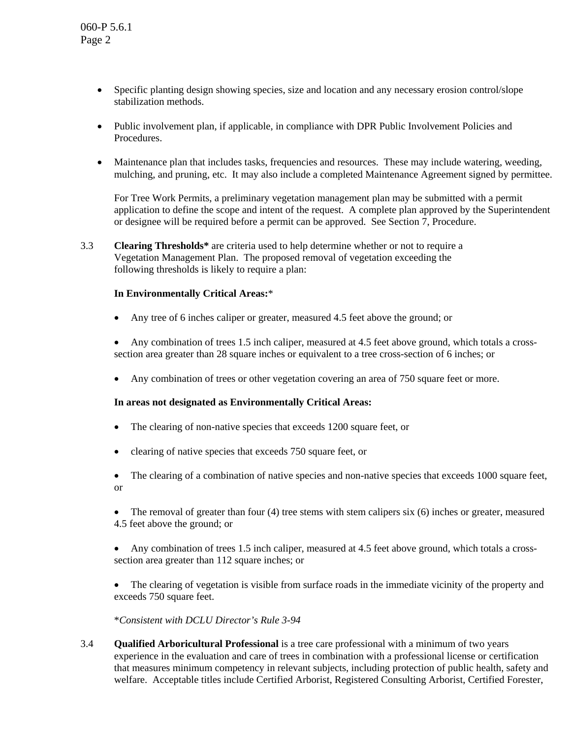- Specific planting design showing species, size and location and any necessary erosion control/slope stabilization methods.
- Public involvement plan, if applicable, in compliance with DPR Public Involvement Policies and Procedures.
- Maintenance plan that includes tasks, frequencies and resources. These may include watering, weeding, mulching, and pruning, etc. It may also include a completed Maintenance Agreement signed by permittee.

For Tree Work Permits, a preliminary vegetation management plan may be submitted with a permit application to define the scope and intent of the request. A complete plan approved by the Superintendent or designee will be required before a permit can be approved. See Section 7, Procedure.

3.3 **Clearing Thresholds\*** are criteria used to help determine whether or not to require a Vegetation Management Plan. The proposed removal of vegetation exceeding the following thresholds is likely to require a plan:

### **In Environmentally Critical Areas:**\*

- Any tree of 6 inches caliper or greater, measured 4.5 feet above the ground; or
- Any combination of trees 1.5 inch caliper, measured at 4.5 feet above ground, which totals a crosssection area greater than 28 square inches or equivalent to a tree cross-section of 6 inches; or
- Any combination of trees or other vegetation covering an area of 750 square feet or more.

### **In areas not designated as Environmentally Critical Areas:**

- The clearing of non-native species that exceeds 1200 square feet, or
- clearing of native species that exceeds 750 square feet, or
- The clearing of a combination of native species and non-native species that exceeds 1000 square feet, or
- The removal of greater than four (4) tree stems with stem calipers six (6) inches or greater, measured 4.5 feet above the ground; or
- Any combination of trees 1.5 inch caliper, measured at 4.5 feet above ground, which totals a crosssection area greater than 112 square inches; or
- The clearing of vegetation is visible from surface roads in the immediate vicinity of the property and exceeds 750 square feet.

\**Consistent with DCLU Director's Rule 3-94*

3.4 **Qualified Arboricultural Professional** is a tree care professional with a minimum of two years experience in the evaluation and care of trees in combination with a professional license or certification that measures minimum competency in relevant subjects, including protection of public health, safety and welfare. Acceptable titles include Certified Arborist, Registered Consulting Arborist, Certified Forester,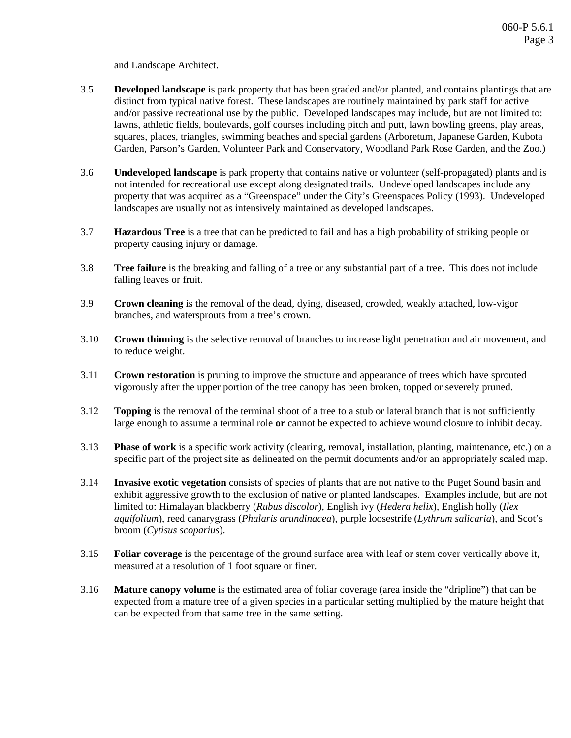and Landscape Architect.

- 3.5 **Developed landscape** is park property that has been graded and/or planted, and contains plantings that are distinct from typical native forest. These landscapes are routinely maintained by park staff for active and/or passive recreational use by the public. Developed landscapes may include, but are not limited to: lawns, athletic fields, boulevards, golf courses including pitch and putt, lawn bowling greens, play areas, squares, places, triangles, swimming beaches and special gardens (Arboretum, Japanese Garden, Kubota Garden, Parson's Garden, Volunteer Park and Conservatory, Woodland Park Rose Garden, and the Zoo.)
- 3.6 **Undeveloped landscape** is park property that contains native or volunteer (self-propagated) plants and is not intended for recreational use except along designated trails. Undeveloped landscapes include any property that was acquired as a "Greenspace" under the City's Greenspaces Policy (1993). Undeveloped landscapes are usually not as intensively maintained as developed landscapes.
- 3.7 **Hazardous Tree** is a tree that can be predicted to fail and has a high probability of striking people or property causing injury or damage.
- 3.8 **Tree failure** is the breaking and falling of a tree or any substantial part of a tree. This does not include falling leaves or fruit.
- 3.9 **Crown cleaning** is the removal of the dead, dying, diseased, crowded, weakly attached, low-vigor branches, and watersprouts from a tree's crown.
- 3.10 **Crown thinning** is the selective removal of branches to increase light penetration and air movement, and to reduce weight.
- 3.11 **Crown restoration** is pruning to improve the structure and appearance of trees which have sprouted vigorously after the upper portion of the tree canopy has been broken, topped or severely pruned.
- 3.12 **Topping** is the removal of the terminal shoot of a tree to a stub or lateral branch that is not sufficiently large enough to assume a terminal role **or** cannot be expected to achieve wound closure to inhibit decay.
- 3.13 **Phase of work** is a specific work activity (clearing, removal, installation, planting, maintenance, etc.) on a specific part of the project site as delineated on the permit documents and/or an appropriately scaled map.
- 3.14 **Invasive exotic vegetation** consists of species of plants that are not native to the Puget Sound basin and exhibit aggressive growth to the exclusion of native or planted landscapes. Examples include, but are not limited to: Himalayan blackberry (*Rubus discolor*), English ivy (*Hedera helix*), English holly (*Ilex aquifolium*), reed canarygrass (*Phalaris arundinacea*), purple loosestrife (*Lythrum salicaria*), and Scot's broom (*Cytisus scoparius*).
- 3.15 **Foliar coverage** is the percentage of the ground surface area with leaf or stem cover vertically above it, measured at a resolution of 1 foot square or finer.
- 3.16 **Mature canopy volume** is the estimated area of foliar coverage (area inside the "dripline") that can be expected from a mature tree of a given species in a particular setting multiplied by the mature height that can be expected from that same tree in the same setting.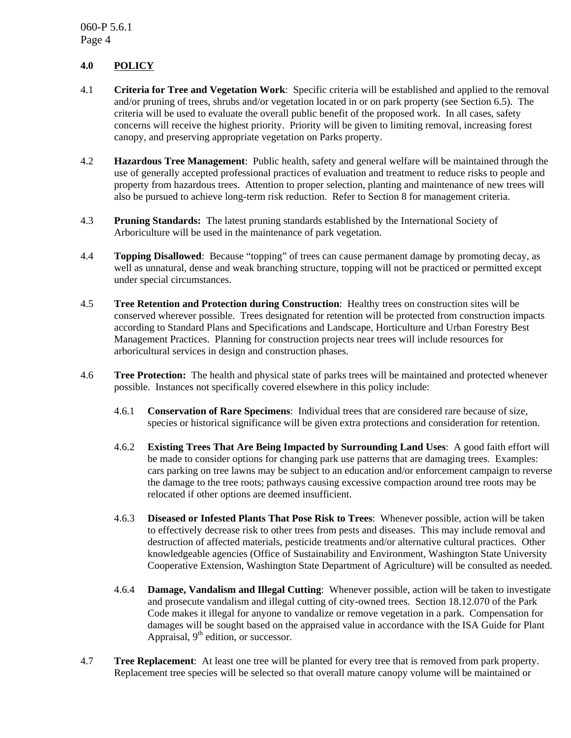# **4.0 POLICY**

- 4.1 **Criteria for Tree and Vegetation Work**: Specific criteria will be established and applied to the removal and/or pruning of trees, shrubs and/or vegetation located in or on park property (see Section 6.5). The criteria will be used to evaluate the overall public benefit of the proposed work. In all cases, safety concerns will receive the highest priority. Priority will be given to limiting removal, increasing forest canopy, and preserving appropriate vegetation on Parks property.
- 4.2 **Hazardous Tree Management**: Public health, safety and general welfare will be maintained through the use of generally accepted professional practices of evaluation and treatment to reduce risks to people and property from hazardous trees. Attention to proper selection, planting and maintenance of new trees will also be pursued to achieve long-term risk reduction. Refer to Section 8 for management criteria.
- 4.3 **Pruning Standards:** The latest pruning standards established by the International Society of Arboriculture will be used in the maintenance of park vegetation.
- 4.4 **Topping Disallowed**: Because "topping" of trees can cause permanent damage by promoting decay, as well as unnatural, dense and weak branching structure, topping will not be practiced or permitted except under special circumstances.
- 4.5 **Tree Retention and Protection during Construction**: Healthy trees on construction sites will be conserved wherever possible. Trees designated for retention will be protected from construction impacts according to Standard Plans and Specifications and Landscape, Horticulture and Urban Forestry Best Management Practices. Planning for construction projects near trees will include resources for arboricultural services in design and construction phases.
- 4.6 **Tree Protection:** The health and physical state of parks trees will be maintained and protected whenever possible. Instances not specifically covered elsewhere in this policy include:
	- 4.6.1 **Conservation of Rare Specimens**: Individual trees that are considered rare because of size, species or historical significance will be given extra protections and consideration for retention.
	- 4.6.2 **Existing Trees That Are Being Impacted by Surrounding Land Uses**: A good faith effort will be made to consider options for changing park use patterns that are damaging trees. Examples: cars parking on tree lawns may be subject to an education and/or enforcement campaign to reverse the damage to the tree roots; pathways causing excessive compaction around tree roots may be relocated if other options are deemed insufficient.
	- 4.6.3 **Diseased or Infested Plants That Pose Risk to Trees**: Whenever possible, action will be taken to effectively decrease risk to other trees from pests and diseases. This may include removal and destruction of affected materials, pesticide treatments and/or alternative cultural practices. Other knowledgeable agencies (Office of Sustainability and Environment, Washington State University Cooperative Extension, Washington State Department of Agriculture) will be consulted as needed.
	- 4.6.4 **Damage, Vandalism and Illegal Cutting**: Whenever possible, action will be taken to investigate and prosecute vandalism and illegal cutting of city-owned trees. Section 18.12.070 of the Park Code makes it illegal for anyone to vandalize or remove vegetation in a park. Compensation for damages will be sought based on the appraised value in accordance with the ISA Guide for Plant Appraisal,  $9<sup>th</sup>$  edition, or successor.
- 4.7 **Tree Replacement**: At least one tree will be planted for every tree that is removed from park property. Replacement tree species will be selected so that overall mature canopy volume will be maintained or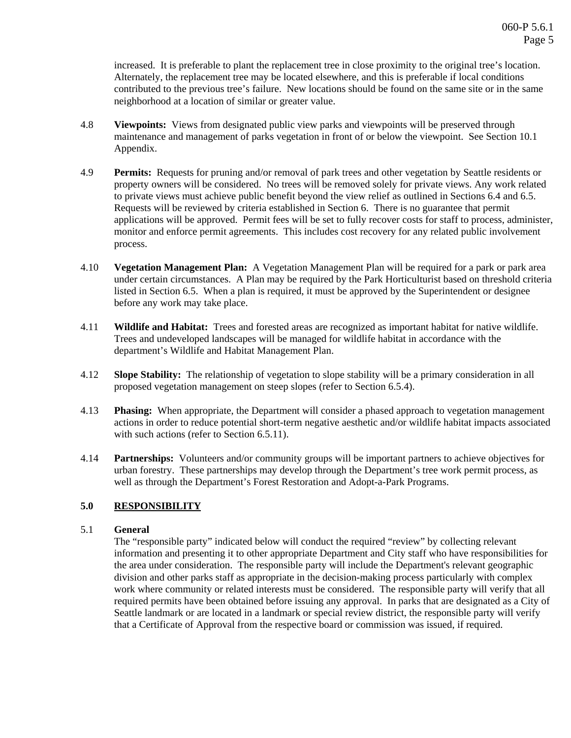increased. It is preferable to plant the replacement tree in close proximity to the original tree's location. Alternately, the replacement tree may be located elsewhere, and this is preferable if local conditions contributed to the previous tree's failure. New locations should be found on the same site or in the same neighborhood at a location of similar or greater value.

- 4.8 **Viewpoints:** Views from designated public view parks and viewpoints will be preserved through maintenance and management of parks vegetation in front of or below the viewpoint. See Section 10.1 Appendix.
- 4.9 **Permits:** Requests for pruning and/or removal of park trees and other vegetation by Seattle residents or property owners will be considered. No trees will be removed solely for private views. Any work related to private views must achieve public benefit beyond the view relief as outlined in Sections 6.4 and 6.5. Requests will be reviewed by criteria established in Section 6. There is no guarantee that permit applications will be approved. Permit fees will be set to fully recover costs for staff to process, administer, monitor and enforce permit agreements. This includes cost recovery for any related public involvement process.
- 4.10 **Vegetation Management Plan:** A Vegetation Management Plan will be required for a park or park area under certain circumstances. A Plan may be required by the Park Horticulturist based on threshold criteria listed in Section 6.5. When a plan is required, it must be approved by the Superintendent or designee before any work may take place.
- 4.11 **Wildlife and Habitat:** Trees and forested areas are recognized as important habitat for native wildlife. Trees and undeveloped landscapes will be managed for wildlife habitat in accordance with the department's Wildlife and Habitat Management Plan.
- 4.12 **Slope Stability:** The relationship of vegetation to slope stability will be a primary consideration in all proposed vegetation management on steep slopes (refer to Section 6.5.4).
- 4.13 **Phasing:** When appropriate, the Department will consider a phased approach to vegetation management actions in order to reduce potential short-term negative aesthetic and/or wildlife habitat impacts associated with such actions (refer to Section 6.5.11).
- 4.14 **Partnerships:** Volunteers and/or community groups will be important partners to achieve objectives for urban forestry. These partnerships may develop through the Department's tree work permit process, as well as through the Department's Forest Restoration and Adopt-a-Park Programs.

## **5.0 RESPONSIBILITY**

### 5.1 **General**

The "responsible party" indicated below will conduct the required "review" by collecting relevant information and presenting it to other appropriate Department and City staff who have responsibilities for the area under consideration. The responsible party will include the Department's relevant geographic division and other parks staff as appropriate in the decision-making process particularly with complex work where community or related interests must be considered. The responsible party will verify that all required permits have been obtained before issuing any approval. In parks that are designated as a City of Seattle landmark or are located in a landmark or special review district, the responsible party will verify that a Certificate of Approval from the respective board or commission was issued, if required.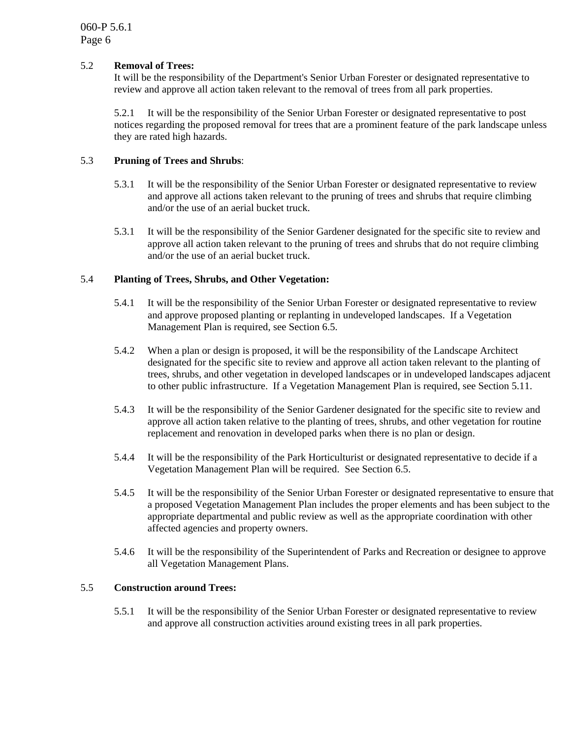### 5.2 **Removal of Trees:**

It will be the responsibility of the Department's Senior Urban Forester or designated representative to review and approve all action taken relevant to the removal of trees from all park properties.

5.2.1 It will be the responsibility of the Senior Urban Forester or designated representative to post notices regarding the proposed removal for trees that are a prominent feature of the park landscape unless they are rated high hazards.

### 5.3 **Pruning of Trees and Shrubs**:

- 5.3.1 It will be the responsibility of the Senior Urban Forester or designated representative to review and approve all actions taken relevant to the pruning of trees and shrubs that require climbing and/or the use of an aerial bucket truck.
- 5.3.1 It will be the responsibility of the Senior Gardener designated for the specific site to review and approve all action taken relevant to the pruning of trees and shrubs that do not require climbing and/or the use of an aerial bucket truck.

#### 5.4 **Planting of Trees, Shrubs, and Other Vegetation:**

- 5.4.1 It will be the responsibility of the Senior Urban Forester or designated representative to review and approve proposed planting or replanting in undeveloped landscapes. If a Vegetation Management Plan is required, see Section 6.5.
- 5.4.2 When a plan or design is proposed, it will be the responsibility of the Landscape Architect designated for the specific site to review and approve all action taken relevant to the planting of trees, shrubs, and other vegetation in developed landscapes or in undeveloped landscapes adjacent to other public infrastructure. If a Vegetation Management Plan is required, see Section 5.11.
- 5.4.3 It will be the responsibility of the Senior Gardener designated for the specific site to review and approve all action taken relative to the planting of trees, shrubs, and other vegetation for routine replacement and renovation in developed parks when there is no plan or design.
- 5.4.4 It will be the responsibility of the Park Horticulturist or designated representative to decide if a Vegetation Management Plan will be required. See Section 6.5.
- 5.4.5 It will be the responsibility of the Senior Urban Forester or designated representative to ensure that a proposed Vegetation Management Plan includes the proper elements and has been subject to the appropriate departmental and public review as well as the appropriate coordination with other affected agencies and property owners.
- 5.4.6 It will be the responsibility of the Superintendent of Parks and Recreation or designee to approve all Vegetation Management Plans.

#### 5.5 **Construction around Trees:**

5.5.1 It will be the responsibility of the Senior Urban Forester or designated representative to review and approve all construction activities around existing trees in all park properties.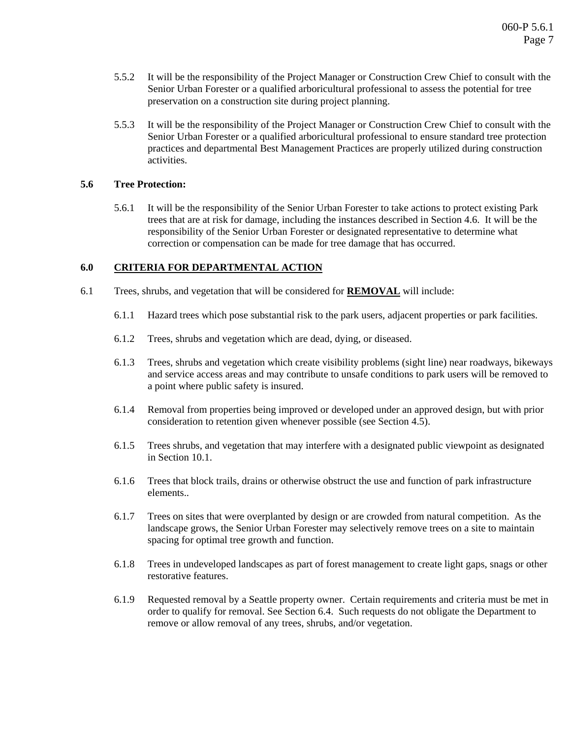- 5.5.2 It will be the responsibility of the Project Manager or Construction Crew Chief to consult with the Senior Urban Forester or a qualified arboricultural professional to assess the potential for tree preservation on a construction site during project planning.
- 5.5.3 It will be the responsibility of the Project Manager or Construction Crew Chief to consult with the Senior Urban Forester or a qualified arboricultural professional to ensure standard tree protection practices and departmental Best Management Practices are properly utilized during construction activities.

### **5.6 Tree Protection:**

5.6.1 It will be the responsibility of the Senior Urban Forester to take actions to protect existing Park trees that are at risk for damage, including the instances described in Section 4.6. It will be the responsibility of the Senior Urban Forester or designated representative to determine what correction or compensation can be made for tree damage that has occurred.

#### **6.0 CRITERIA FOR DEPARTMENTAL ACTION**

- 6.1 Trees, shrubs, and vegetation that will be considered for **REMOVAL** will include:
	- 6.1.1 Hazard trees which pose substantial risk to the park users, adjacent properties or park facilities.
	- 6.1.2 Trees, shrubs and vegetation which are dead, dying, or diseased.
	- 6.1.3 Trees, shrubs and vegetation which create visibility problems (sight line) near roadways, bikeways and service access areas and may contribute to unsafe conditions to park users will be removed to a point where public safety is insured.
	- 6.1.4 Removal from properties being improved or developed under an approved design, but with prior consideration to retention given whenever possible (see Section 4.5).
	- 6.1.5 Trees shrubs, and vegetation that may interfere with a designated public viewpoint as designated in Section 10.1.
	- 6.1.6 Trees that block trails, drains or otherwise obstruct the use and function of park infrastructure elements..
	- 6.1.7 Trees on sites that were overplanted by design or are crowded from natural competition. As the landscape grows, the Senior Urban Forester may selectively remove trees on a site to maintain spacing for optimal tree growth and function.
	- 6.1.8 Trees in undeveloped landscapes as part of forest management to create light gaps, snags or other restorative features.
	- 6.1.9 Requested removal by a Seattle property owner. Certain requirements and criteria must be met in order to qualify for removal. See Section 6.4. Such requests do not obligate the Department to remove or allow removal of any trees, shrubs, and/or vegetation.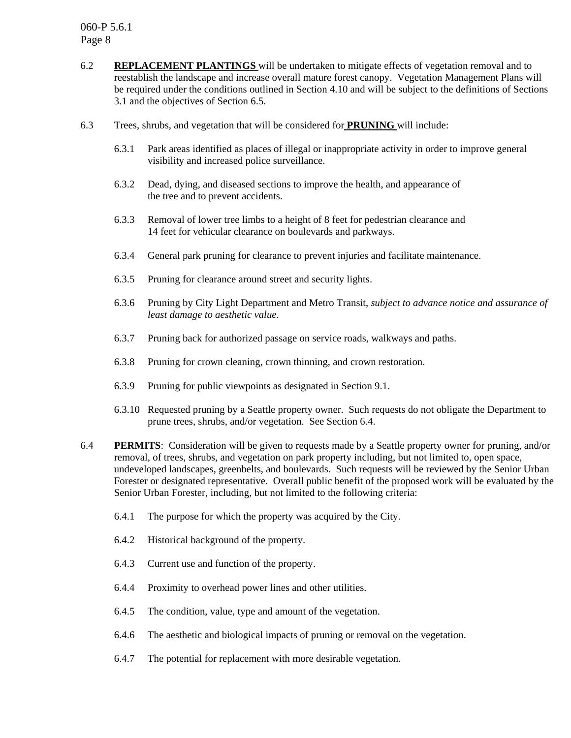- 6.2 **REPLACEMENT PLANTINGS** will be undertaken to mitigate effects of vegetation removal and to reestablish the landscape and increase overall mature forest canopy. Vegetation Management Plans will be required under the conditions outlined in Section 4.10 and will be subject to the definitions of Sections 3.1 and the objectives of Section 6.5.
- 6.3 Trees, shrubs, and vegetation that will be considered for **PRUNING** will include:
	- 6.3.1 Park areas identified as places of illegal or inappropriate activity in order to improve general visibility and increased police surveillance.
	- 6.3.2 Dead, dying, and diseased sections to improve the health, and appearance of the tree and to prevent accidents.
	- 6.3.3 Removal of lower tree limbs to a height of 8 feet for pedestrian clearance and 14 feet for vehicular clearance on boulevards and parkways.
	- 6.3.4 General park pruning for clearance to prevent injuries and facilitate maintenance.
	- 6.3.5 Pruning for clearance around street and security lights.
	- 6.3.6 Pruning by City Light Department and Metro Transit, *subject to advance notice and assurance of least damage to aesthetic value*.
	- 6.3.7 Pruning back for authorized passage on service roads, walkways and paths.
	- 6.3.8 Pruning for crown cleaning, crown thinning, and crown restoration.
	- 6.3.9 Pruning for public viewpoints as designated in Section 9.1.
	- 6.3.10 Requested pruning by a Seattle property owner. Such requests do not obligate the Department to prune trees, shrubs, and/or vegetation. See Section 6.4.
- 6.4 **PERMITS**: Consideration will be given to requests made by a Seattle property owner for pruning, and/or removal, of trees, shrubs, and vegetation on park property including, but not limited to, open space, undeveloped landscapes, greenbelts, and boulevards. Such requests will be reviewed by the Senior Urban Forester or designated representative. Overall public benefit of the proposed work will be evaluated by the Senior Urban Forester, including, but not limited to the following criteria:
	- 6.4.1 The purpose for which the property was acquired by the City.
	- 6.4.2 Historical background of the property.
	- 6.4.3 Current use and function of the property.
	- 6.4.4 Proximity to overhead power lines and other utilities.
	- 6.4.5 The condition, value, type and amount of the vegetation.
	- 6.4.6 The aesthetic and biological impacts of pruning or removal on the vegetation.
	- 6.4.7 The potential for replacement with more desirable vegetation.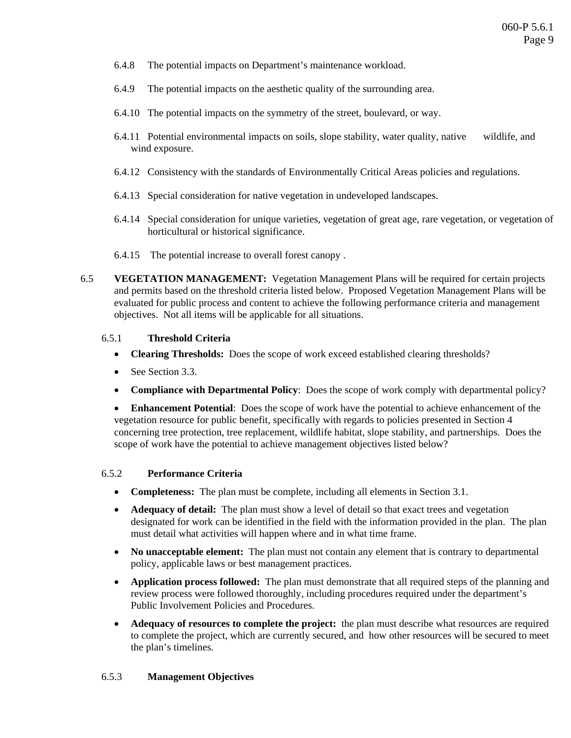- 6.4.8 The potential impacts on Department's maintenance workload.
- 6.4.9 The potential impacts on the aesthetic quality of the surrounding area.
- 6.4.10 The potential impacts on the symmetry of the street, boulevard, or way.
- 6.4.11 Potential environmental impacts on soils, slope stability, water quality, native wildlife, and wind exposure.
- 6.4.12 Consistency with the standards of Environmentally Critical Areas policies and regulations.
- 6.4.13 Special consideration for native vegetation in undeveloped landscapes.
- 6.4.14 Special consideration for unique varieties, vegetation of great age, rare vegetation, or vegetation of horticultural or historical significance.
- 6.4.15 The potential increase to overall forest canopy .
- 6.5 **VEGETATION MANAGEMENT:** Vegetation Management Plans will be required for certain projects and permits based on the threshold criteria listed below. Proposed Vegetation Management Plans will be evaluated for public process and content to achieve the following performance criteria and management objectives. Not all items will be applicable for all situations.

### 6.5.1 **Threshold Criteria**

- **Clearing Thresholds:** Does the scope of work exceed established clearing thresholds?
- See Section 3.3.
- **Compliance with Departmental Policy**: Does the scope of work comply with departmental policy?

• **Enhancement Potential**: Does the scope of work have the potential to achieve enhancement of the vegetation resource for public benefit, specifically with regards to policies presented in Section 4 concerning tree protection, tree replacement, wildlife habitat, slope stability, and partnerships. Does the scope of work have the potential to achieve management objectives listed below?

### 6.5.2 **Performance Criteria**

- **Completeness:** The plan must be complete, including all elements in Section 3.1.
- **Adequacy of detail:** The plan must show a level of detail so that exact trees and vegetation designated for work can be identified in the field with the information provided in the plan. The plan must detail what activities will happen where and in what time frame.
- **No unacceptable element:** The plan must not contain any element that is contrary to departmental policy, applicable laws or best management practices.
- **Application process followed:** The plan must demonstrate that all required steps of the planning and review process were followed thoroughly, including procedures required under the department's Public Involvement Policies and Procedures.
- **Adequacy of resources to complete the project:** the plan must describe what resources are required to complete the project, which are currently secured, and how other resources will be secured to meet the plan's timelines.

## 6.5.3 **Management Objectives**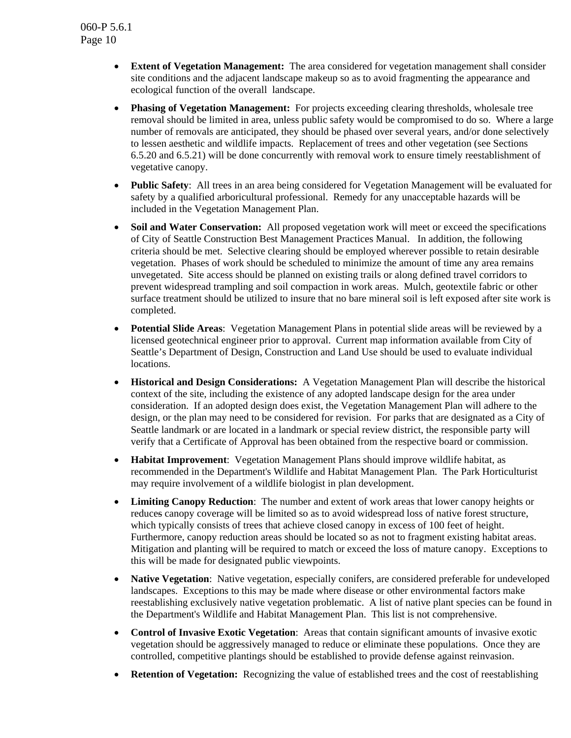- **Extent of Vegetation Management:** The area considered for vegetation management shall consider site conditions and the adjacent landscape makeup so as to avoid fragmenting the appearance and ecological function of the overall landscape.
- **Phasing of Vegetation Management:** For projects exceeding clearing thresholds, wholesale tree removal should be limited in area, unless public safety would be compromised to do so. Where a large number of removals are anticipated, they should be phased over several years, and/or done selectively to lessen aesthetic and wildlife impacts. Replacement of trees and other vegetation (see Sections 6.5.20 and 6.5.21) will be done concurrently with removal work to ensure timely reestablishment of vegetative canopy.
- **Public Safety**: All trees in an area being considered for Vegetation Management will be evaluated for safety by a qualified arboricultural professional. Remedy for any unacceptable hazards will be included in the Vegetation Management Plan.
- **Soil and Water Conservation:** All proposed vegetation work will meet or exceed the specifications of City of Seattle Construction Best Management Practices Manual. In addition, the following criteria should be met. Selective clearing should be employed wherever possible to retain desirable vegetation. Phases of work should be scheduled to minimize the amount of time any area remains unvegetated. Site access should be planned on existing trails or along defined travel corridors to prevent widespread trampling and soil compaction in work areas. Mulch, geotextile fabric or other surface treatment should be utilized to insure that no bare mineral soil is left exposed after site work is completed.
- **Potential Slide Areas**: Vegetation Management Plans in potential slide areas will be reviewed by a licensed geotechnical engineer prior to approval. Current map information available from City of Seattle's Department of Design, Construction and Land Use should be used to evaluate individual locations.
- **Historical and Design Considerations:** A Vegetation Management Plan will describe the historical context of the site, including the existence of any adopted landscape design for the area under consideration. If an adopted design does exist, the Vegetation Management Plan will adhere to the design, or the plan may need to be considered for revision. For parks that are designated as a City of Seattle landmark or are located in a landmark or special review district, the responsible party will verify that a Certificate of Approval has been obtained from the respective board or commission.
- **Habitat Improvement**: Vegetation Management Plans should improve wildlife habitat, as recommended in the Department's Wildlife and Habitat Management Plan. The Park Horticulturist may require involvement of a wildlife biologist in plan development.
- **Limiting Canopy Reduction:** The number and extent of work areas that lower canopy heights or reduces canopy coverage will be limited so as to avoid widespread loss of native forest structure, which typically consists of trees that achieve closed canopy in excess of 100 feet of height. Furthermore, canopy reduction areas should be located so as not to fragment existing habitat areas. Mitigation and planting will be required to match or exceed the loss of mature canopy. Exceptions to this will be made for designated public viewpoints.
- **Native Vegetation**: Native vegetation, especially conifers, are considered preferable for undeveloped landscapes. Exceptions to this may be made where disease or other environmental factors make reestablishing exclusively native vegetation problematic. A list of native plant species can be found in the Department's Wildlife and Habitat Management Plan. This list is not comprehensive.
- **Control of Invasive Exotic Vegetation**: Areas that contain significant amounts of invasive exotic vegetation should be aggressively managed to reduce or eliminate these populations. Once they are controlled, competitive plantings should be established to provide defense against reinvasion.
- **Retention of Vegetation:** Recognizing the value of established trees and the cost of reestablishing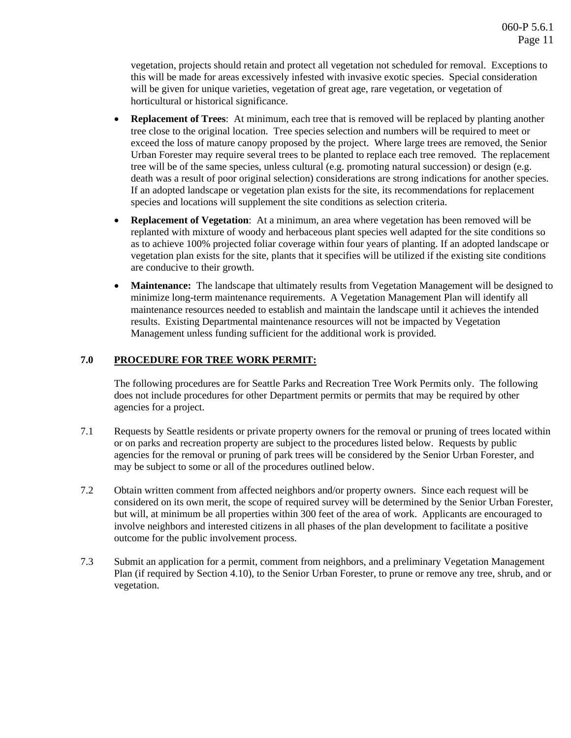vegetation, projects should retain and protect all vegetation not scheduled for removal. Exceptions to this will be made for areas excessively infested with invasive exotic species. Special consideration will be given for unique varieties, vegetation of great age, rare vegetation, or vegetation of horticultural or historical significance.

- **Replacement of Trees**: At minimum, each tree that is removed will be replaced by planting another tree close to the original location. Tree species selection and numbers will be required to meet or exceed the loss of mature canopy proposed by the project. Where large trees are removed, the Senior Urban Forester may require several trees to be planted to replace each tree removed. The replacement tree will be of the same species, unless cultural (e.g. promoting natural succession) or design (e.g. death was a result of poor original selection) considerations are strong indications for another species. If an adopted landscape or vegetation plan exists for the site, its recommendations for replacement species and locations will supplement the site conditions as selection criteria.
- **Replacement of Vegetation**: At a minimum, an area where vegetation has been removed will be replanted with mixture of woody and herbaceous plant species well adapted for the site conditions so as to achieve 100% projected foliar coverage within four years of planting. If an adopted landscape or vegetation plan exists for the site, plants that it specifies will be utilized if the existing site conditions are conducive to their growth.
- **Maintenance:** The landscape that ultimately results from Vegetation Management will be designed to minimize long-term maintenance requirements. A Vegetation Management Plan will identify all maintenance resources needed to establish and maintain the landscape until it achieves the intended results. Existing Departmental maintenance resources will not be impacted by Vegetation Management unless funding sufficient for the additional work is provided.

## **7.0 PROCEDURE FOR TREE WORK PERMIT:**

The following procedures are for Seattle Parks and Recreation Tree Work Permits only. The following does not include procedures for other Department permits or permits that may be required by other agencies for a project.

- 7.1 Requests by Seattle residents or private property owners for the removal or pruning of trees located within or on parks and recreation property are subject to the procedures listed below. Requests by public agencies for the removal or pruning of park trees will be considered by the Senior Urban Forester, and may be subject to some or all of the procedures outlined below.
- 7.2 Obtain written comment from affected neighbors and/or property owners. Since each request will be considered on its own merit, the scope of required survey will be determined by the Senior Urban Forester, but will, at minimum be all properties within 300 feet of the area of work. Applicants are encouraged to involve neighbors and interested citizens in all phases of the plan development to facilitate a positive outcome for the public involvement process.
- 7.3 Submit an application for a permit, comment from neighbors, and a preliminary Vegetation Management Plan (if required by Section 4.10), to the Senior Urban Forester, to prune or remove any tree, shrub, and or vegetation.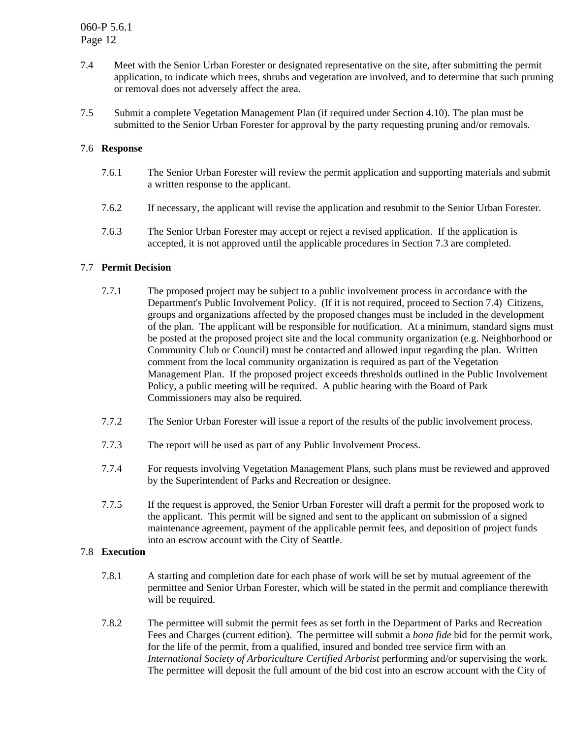- 7.4 Meet with the Senior Urban Forester or designated representative on the site, after submitting the permit application, to indicate which trees, shrubs and vegetation are involved, and to determine that such pruning or removal does not adversely affect the area.
- 7.5 Submit a complete Vegetation Management Plan (if required under Section 4.10). The plan must be submitted to the Senior Urban Forester for approval by the party requesting pruning and/or removals.

### 7.6 **Response**

- 7.6.1 The Senior Urban Forester will review the permit application and supporting materials and submit a written response to the applicant.
- 7.6.2 If necessary, the applicant will revise the application and resubmit to the Senior Urban Forester.
- 7.6.3 The Senior Urban Forester may accept or reject a revised application. If the application is accepted, it is not approved until the applicable procedures in Section 7.3 are completed.

### 7.7 **Permit Decision**

- 7.7.1 The proposed project may be subject to a public involvement process in accordance with the Department's Public Involvement Policy. (If it is not required, proceed to Section 7.4) Citizens, groups and organizations affected by the proposed changes must be included in the development of the plan. The applicant will be responsible for notification. At a minimum, standard signs must be posted at the proposed project site and the local community organization (e.g. Neighborhood or Community Club or Council) must be contacted and allowed input regarding the plan. Written comment from the local community organization is required as part of the Vegetation Management Plan. If the proposed project exceeds thresholds outlined in the Public Involvement Policy, a public meeting will be required. A public hearing with the Board of Park Commissioners may also be required.
- 7.7.2 The Senior Urban Forester will issue a report of the results of the public involvement process.
- 7.7.3 The report will be used as part of any Public Involvement Process.
- 7.7.4 For requests involving Vegetation Management Plans, such plans must be reviewed and approved by the Superintendent of Parks and Recreation or designee.
- 7.7.5 If the request is approved, the Senior Urban Forester will draft a permit for the proposed work to the applicant. This permit will be signed and sent to the applicant on submission of a signed maintenance agreement, payment of the applicable permit fees, and deposition of project funds into an escrow account with the City of Seattle.

### 7.8 **Execution**

- 7.8.1 A starting and completion date for each phase of work will be set by mutual agreement of the permittee and Senior Urban Forester, which will be stated in the permit and compliance therewith will be required.
- 7.8.2 The permittee will submit the permit fees as set forth in the Department of Parks and Recreation Fees and Charges (current edition). The permittee will submit a *bona fide* bid for the permit work, for the life of the permit, from a qualified, insured and bonded tree service firm with an *International Society of Arboriculture Certified Arborist* performing and/or supervising the work. The permittee will deposit the full amount of the bid cost into an escrow account with the City of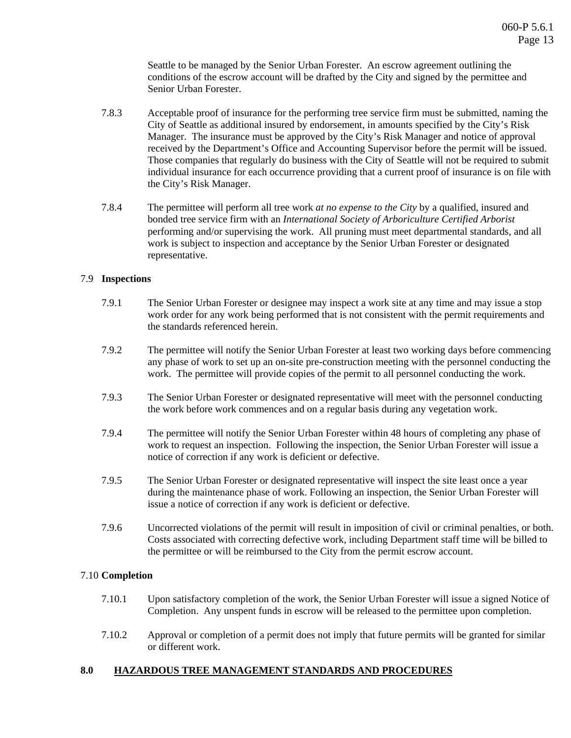Seattle to be managed by the Senior Urban Forester. An escrow agreement outlining the conditions of the escrow account will be drafted by the City and signed by the permittee and Senior Urban Forester.

- 7.8.3 Acceptable proof of insurance for the performing tree service firm must be submitted, naming the City of Seattle as additional insured by endorsement, in amounts specified by the City's Risk Manager. The insurance must be approved by the City's Risk Manager and notice of approval received by the Department's Office and Accounting Supervisor before the permit will be issued. Those companies that regularly do business with the City of Seattle will not be required to submit individual insurance for each occurrence providing that a current proof of insurance is on file with the City's Risk Manager.
- 7.8.4 The permittee will perform all tree work *at no expense to the City* by a qualified, insured and bonded tree service firm with an *International Society of Arboriculture Certified Arborist* performing and/or supervising the work. All pruning must meet departmental standards, and all work is subject to inspection and acceptance by the Senior Urban Forester or designated representative.

### 7.9 **Inspections**

- 7.9.1 The Senior Urban Forester or designee may inspect a work site at any time and may issue a stop work order for any work being performed that is not consistent with the permit requirements and the standards referenced herein.
- 7.9.2 The permittee will notify the Senior Urban Forester at least two working days before commencing any phase of work to set up an on-site pre-construction meeting with the personnel conducting the work. The permittee will provide copies of the permit to all personnel conducting the work.
- 7.9.3 The Senior Urban Forester or designated representative will meet with the personnel conducting the work before work commences and on a regular basis during any vegetation work.
- 7.9.4 The permittee will notify the Senior Urban Forester within 48 hours of completing any phase of work to request an inspection. Following the inspection, the Senior Urban Forester will issue a notice of correction if any work is deficient or defective.
- 7.9.5 The Senior Urban Forester or designated representative will inspect the site least once a year during the maintenance phase of work. Following an inspection, the Senior Urban Forester will issue a notice of correction if any work is deficient or defective.
- 7.9.6 Uncorrected violations of the permit will result in imposition of civil or criminal penalties, or both. Costs associated with correcting defective work, including Department staff time will be billed to the permittee or will be reimbursed to the City from the permit escrow account.

### 7.10 **Completion**

- 7.10.1 Upon satisfactory completion of the work, the Senior Urban Forester will issue a signed Notice of Completion. Any unspent funds in escrow will be released to the permittee upon completion.
- 7.10.2 Approval or completion of a permit does not imply that future permits will be granted for similar or different work.

#### **8.0 HAZARDOUS TREE MANAGEMENT STANDARDS AND PROCEDURES**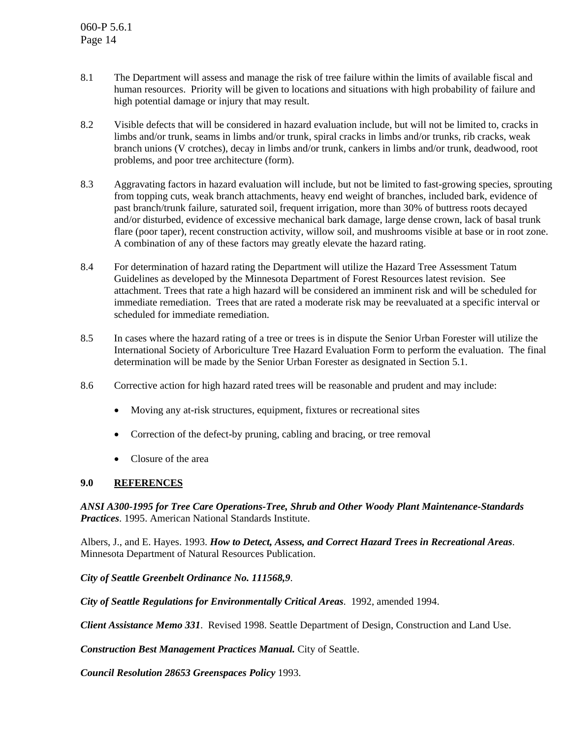- 8.1 The Department will assess and manage the risk of tree failure within the limits of available fiscal and human resources. Priority will be given to locations and situations with high probability of failure and high potential damage or injury that may result.
- 8.2 Visible defects that will be considered in hazard evaluation include, but will not be limited to, cracks in limbs and/or trunk, seams in limbs and/or trunk, spiral cracks in limbs and/or trunks, rib cracks, weak branch unions (V crotches), decay in limbs and/or trunk, cankers in limbs and/or trunk, deadwood, root problems, and poor tree architecture (form).
- 8.3 Aggravating factors in hazard evaluation will include, but not be limited to fast-growing species, sprouting from topping cuts, weak branch attachments, heavy end weight of branches, included bark, evidence of past branch/trunk failure, saturated soil, frequent irrigation, more than 30% of buttress roots decayed and/or disturbed, evidence of excessive mechanical bark damage, large dense crown, lack of basal trunk flare (poor taper), recent construction activity, willow soil, and mushrooms visible at base or in root zone. A combination of any of these factors may greatly elevate the hazard rating.
- 8.4 For determination of hazard rating the Department will utilize the Hazard Tree Assessment Tatum Guidelines as developed by the Minnesota Department of Forest Resources latest revision. See attachment. Trees that rate a high hazard will be considered an imminent risk and will be scheduled for immediate remediation. Trees that are rated a moderate risk may be reevaluated at a specific interval or scheduled for immediate remediation.
- 8.5 In cases where the hazard rating of a tree or trees is in dispute the Senior Urban Forester will utilize the International Society of Arboriculture Tree Hazard Evaluation Form to perform the evaluation. The final determination will be made by the Senior Urban Forester as designated in Section 5.1.
- 8.6 Corrective action for high hazard rated trees will be reasonable and prudent and may include:
	- Moving any at-risk structures, equipment, fixtures or recreational sites
	- Correction of the defect-by pruning, cabling and bracing, or tree removal
	- Closure of the area

### **9.0 REFERENCES**

*ANSI A300-1995 for Tree Care Operations-Tree, Shrub and Other Woody Plant Maintenance-Standards Practices*. 1995. American National Standards Institute.

Albers, J., and E. Hayes. 1993. *How to Detect, Assess, and Correct Hazard Trees in Recreational Areas*. Minnesota Department of Natural Resources Publication.

*City of Seattle Greenbelt Ordinance No. 111568,9*.

*City of Seattle Regulations for Environmentally Critical Areas*. 1992, amended 1994.

*Client Assistance Memo 331*. Revised 1998. Seattle Department of Design, Construction and Land Use.

*Construction Best Management Practices Manual.* City of Seattle.

*Council Resolution 28653 Greenspaces Policy* 1993.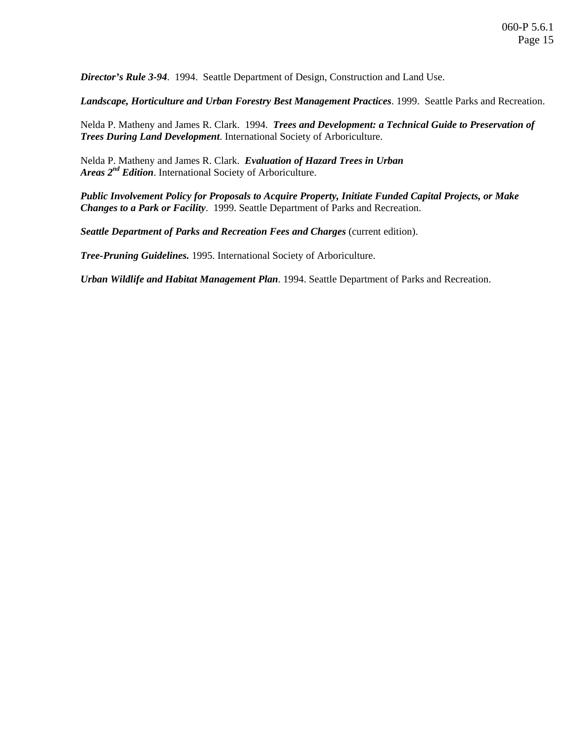*Director's Rule 3-94*. 1994. Seattle Department of Design, Construction and Land Use.

*Landscape, Horticulture and Urban Forestry Best Management Practices*. 1999. Seattle Parks and Recreation.

Nelda P. Matheny and James R. Clark. 1994. *Trees and Development: a Technical Guide to Preservation of Trees During Land Development*. International Society of Arboriculture.

Nelda P. Matheny and James R. Clark. *Evaluation of Hazard Trees in Urban Areas 2nd Edition*. International Society of Arboriculture.

*Public Involvement Policy for Proposals to Acquire Property, Initiate Funded Capital Projects, or Make Changes to a Park or Facility*. 1999. Seattle Department of Parks and Recreation.

**Seattle Department of Parks and Recreation Fees and Charges (current edition).** 

*Tree-Pruning Guidelines.* 1995. International Society of Arboriculture.

*Urban Wildlife and Habitat Management Plan*. 1994. Seattle Department of Parks and Recreation.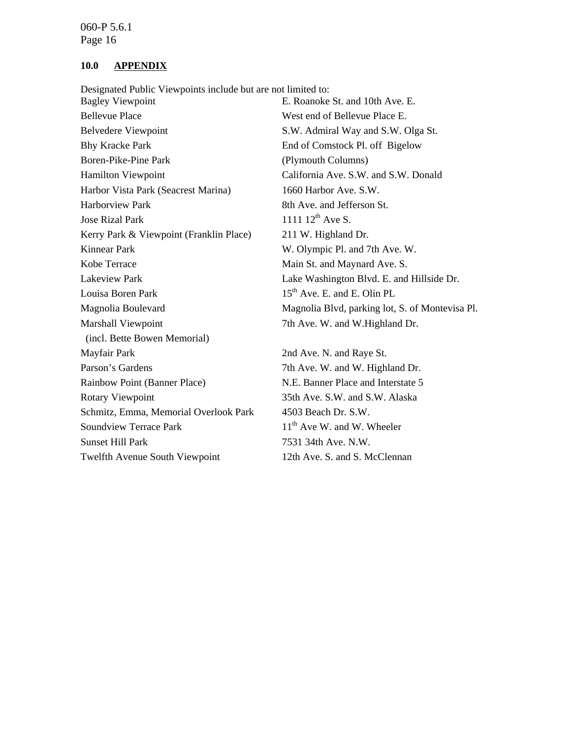#### **10.0 APPENDIX**

Designated Public Viewpoints include but are not limited to:

Bagley Viewpoint **E. Roanoke St. and 10th Ave. E.** Bellevue Place West end of Bellevue Place E. Belvedere Viewpoint S.W. Admiral Way and S.W. Olga St. Bhy Kracke Park End of Comstock Pl. off Bigelow Boren-Pike-Pine Park (Plymouth Columns) Hamilton Viewpoint California Ave. S.W. and S.W. Donald Harbor Vista Park (Seacrest Marina) 1660 Harbor Ave. S.W. Harborview Park 8th Ave. and Jefferson St. Jose Rizal Park  $1111 12^{th}$  Ave S. Kerry Park & Viewpoint (Franklin Place) 211 W. Highland Dr. Kinnear Park W. Olympic Pl. and 7th Ave. W. Kobe Terrace Main St. and Maynard Ave. S. Lakeview Park Lake Washington Blvd. E. and Hillside Dr. Louisa Boren Park 15<sup>th</sup> Ave. E. and E. Olin PL Marshall Viewpoint 7th Ave. W. and W.Highland Dr. (incl. Bette Bowen Memorial) Mayfair Park 2nd Ave. N. and Raye St. Parson's Gardens 7th Ave. W. and W. Highland Dr. Rainbow Point (Banner Place) N.E. Banner Place and Interstate 5 Rotary Viewpoint 35th Ave. S.W. and S.W. Alaska Schmitz, Emma, Memorial Overlook Park 4503 Beach Dr. S.W. Soundview Terrace Park  $11<sup>th</sup>$  Ave W. and W. Wheeler Sunset Hill Park 7531 34th Ave. N.W. Twelfth Avenue South Viewpoint 12th Ave. S. and S. McClennan

Magnolia Boulevard Magnolia Blvd, parking lot, S. of Montevisa Pl.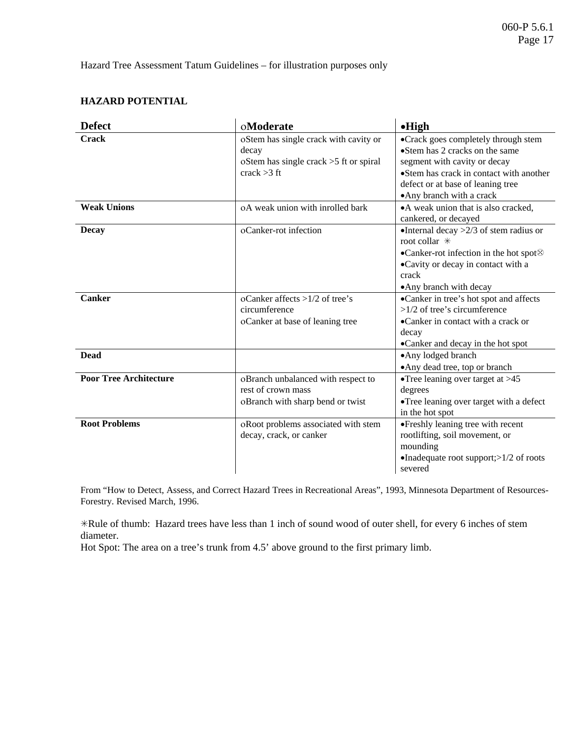Hazard Tree Assessment Tatum Guidelines – for illustration purposes only

### **HAZARD POTENTIAL**

| <b>Defect</b>                 | oModerate                                | $\bullet$ High                                     |
|-------------------------------|------------------------------------------|----------------------------------------------------|
| <b>Crack</b>                  | oStem has single crack with cavity or    | •Crack goes completely through stem                |
|                               | decay                                    | •Stem has 2 cracks on the same                     |
|                               | oStem has single crack $>5$ ft or spiral | segment with cavity or decay                       |
|                               | crack $>3$ ft                            | •Stem has crack in contact with another            |
|                               |                                          | defect or at base of leaning tree                  |
|                               |                                          | • Any branch with a crack                          |
| <b>Weak Unions</b>            | oA weak union with inrolled bark         | • A weak union that is also cracked,               |
|                               |                                          | cankered, or decayed                               |
| Decay                         | oCanker-rot infection                    | •Internal decay $>2/3$ of stem radius or           |
|                               |                                          | root collar *                                      |
|                               |                                          | •Canker-rot infection in the hot spot <sup>8</sup> |
|                               |                                          | •Cavity or decay in contact with a                 |
|                               |                                          | crack                                              |
|                               |                                          | • Any branch with decay                            |
| Canker                        | oCanker affects $>1/2$ of tree's         | •Canker in tree's hot spot and affects             |
|                               | circumference                            | $>1/2$ of tree's circumference                     |
|                               | oCanker at base of leaning tree          | •Canker in contact with a crack or                 |
|                               |                                          | decay                                              |
|                               |                                          | •Canker and decay in the hot spot                  |
| <b>Dead</b>                   |                                          | •Any lodged branch                                 |
|                               |                                          | • Any dead tree, top or branch                     |
| <b>Poor Tree Architecture</b> | oBranch unbalanced with respect to       | • Tree leaning over target at $>45$                |
|                               | rest of crown mass                       | degrees                                            |
|                               | oBranch with sharp bend or twist         | •Tree leaning over target with a defect            |
|                               |                                          | in the hot spot                                    |
| <b>Root Problems</b>          | oRoot problems associated with stem      | •Freshly leaning tree with recent                  |
|                               | decay, crack, or canker                  | rootlifting, soil movement, or                     |
|                               |                                          | mounding                                           |
|                               |                                          | •Inadequate root support; $>1/2$ of roots          |
|                               |                                          | severed                                            |

From "How to Detect, Assess, and Correct Hazard Trees in Recreational Areas", 1993, Minnesota Department of Resources-Forestry. Revised March, 1996.

!Rule of thumb: Hazard trees have less than 1 inch of sound wood of outer shell, for every 6 inches of stem diameter.

Hot Spot: The area on a tree's trunk from 4.5' above ground to the first primary limb.